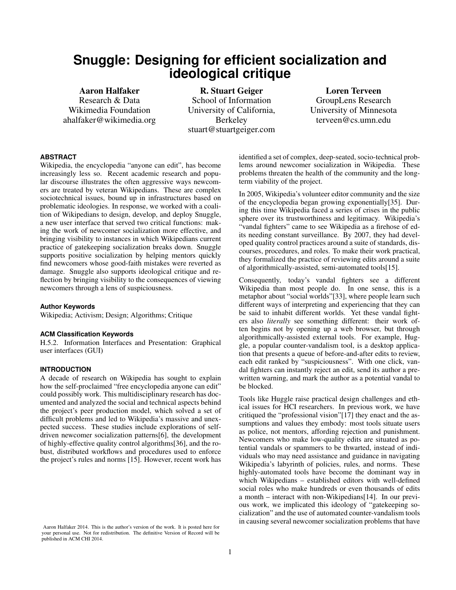# **Snuggle: Designing for efficient socialization and ideological critique**

Aaron Halfaker Research & Data Wikimedia Foundation ahalfaker@wikimedia.org

R. Stuart Geiger School of Information University of California, Berkeley stuart@stuartgeiger.com

Loren Terveen GroupLens Research University of Minnesota terveen@cs.umn.edu

## **ABSTRACT**

Wikipedia, the encyclopedia "anyone can edit", has become increasingly less so. Recent academic research and popular discourse illustrates the often aggressive ways newcomers are treated by veteran Wikipedians. These are complex sociotechnical issues, bound up in infrastructures based on problematic ideologies. In response, we worked with a coalition of Wikipedians to design, develop, and deploy Snuggle, a new user interface that served two critical functions: making the work of newcomer socialization more effective, and bringing visibility to instances in which Wikipedians current practice of gatekeeping socialization breaks down. Snuggle supports positive socialization by helping mentors quickly find newcomers whose good-faith mistakes were reverted as damage. Snuggle also supports ideological critique and reflection by bringing visibility to the consequences of viewing newcomers through a lens of suspiciousness.

#### **Author Keywords**

Wikipedia; Activism; Design; Algorithms; Critique

#### **ACM Classification Keywords**

H.5.2. Information Interfaces and Presentation: Graphical user interfaces (GUI)

#### **INTRODUCTION**

A decade of research on Wikipedia has sought to explain how the self-proclaimed "free encyclopedia anyone can edit" could possibly work. This multidisciplinary research has documented and analyzed the social and technical aspects behind the project's peer production model, which solved a set of difficult problems and led to Wikipedia's massive and unexpected success. These studies include explorations of selfdriven newcomer socialization patterns[\[6\]](#page-9-0), the development of highly-effective quality control algorithms[\[36\]](#page-9-1), and the robust, distributed workflows and procedures used to enforce the project's rules and norms [\[15\]](#page-9-2). However, recent work has

Aaron Halfaker 2014. This is the author's version of the work. It is posted here for your personal use. Not for redistribution. The definitive Version of Record will be published in ACM CHI 2014.

identified a set of complex, deep-seated, socio-technical problems around newcomer socialization in Wikipedia. These problems threaten the health of the community and the longterm viability of the project.

In 2005, Wikipedia's volunteer editor community and the size of the encyclopedia began growing exponentially[\[35\]](#page-9-3). During this time Wikipedia faced a series of crises in the public sphere over its trustworthiness and legitimacy. Wikipedia's "vandal fighters" came to see Wikipedia as a firehose of edits needing constant surveillance. By 2007, they had developed quality control practices around a suite of standards, discourses, procedures, and roles. To make their work practical, they formalized the practice of reviewing edits around a suite of algorithmically-assisted, semi-automated tools[\[15\]](#page-9-2).

Consequently, today's vandal fighters see a different Wikipedia than most people do. In one sense, this is a metaphor about "social worlds"[\[33\]](#page-9-4), where people learn such different ways of interpreting and experiencing that they can be said to inhabit different worlds. Yet these vandal fighters also *literally* see something different: their work often begins not by opening up a web browser, but through algorithmically-assisted external tools. For example, Huggle, a popular counter-vandalism tool, is a desktop application that presents a queue of before-and-after edits to review, each edit ranked by "suspiciousness". With one click, vandal fighters can instantly reject an edit, send its author a prewritten warning, and mark the author as a potential vandal to be blocked.

Tools like Huggle raise practical design challenges and ethical issues for HCI researchers. In previous work, we have critiqued the "professional vision"[\[17\]](#page-9-5) they enact and the assumptions and values they embody: most tools situate users as police, not mentors, affording rejection and punishment. Newcomers who make low-quality edits are situated as potential vandals or spammers to be thwarted, instead of individuals who may need assistance and guidance in navigating Wikipedia's labyrinth of policies, rules, and norms. These highly-automated tools have become the dominant way in which Wikipedians – established editors with well-defined social roles who make hundreds or even thousands of edits a month – interact with non-Wikipedians[\[14\]](#page-9-6). In our previous work, we implicated this ideology of "gatekeeping socialization" and the use of automated counter-vandalism tools in causing several newcomer socialization problems that have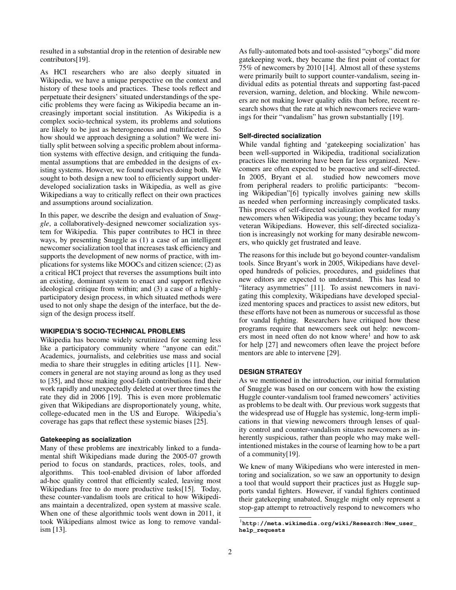resulted in a substantial drop in the retention of desirable new contributors[\[19\]](#page-9-7).

As HCI researchers who are also deeply situated in Wikipedia, we have a unique perspective on the context and history of these tools and practices. These tools reflect and perpetuate their designers' situated understandings of the specific problems they were facing as Wikipedia became an increasingly important social institution. As Wikipedia is a complex socio-technical system, its problems and solutions are likely to be just as heterogeneous and multifaceted. So how should we approach designing a solution? We were initially split between solving a specific problem about information systems with effective design, and critiquing the fundamental assumptions that are embedded in the designs of existing systems. However, we found ourselves doing both. We sought to both design a new tool to efficiently support underdeveloped socialization tasks in Wikipedia, as well as give Wikipedians a way to critically reflect on their own practices and assumptions around socialization.

In this paper, we describe the design and evaluation of *Snuggle*, a collaboratively-designed newcomer socialization system for Wikipedia. This paper contributes to HCI in three ways, by presenting Snuggle as (1) a case of an intelligent newcomer socialization tool that increases task efficiency and supports the development of new norms of practice, with implications for systems like MOOCs and citizen science; (2) as a critical HCI project that reverses the assumptions built into an existing, dominant system to enact and support reflexive ideological critique from within; and (3) a case of a highlyparticipatory design process, in which situated methods were used to not only shape the design of the interface, but the design of the design process itself.

# **WIKIPEDIA'S SOCIO-TECHNICAL PROBLEMS**

Wikipedia has become widely scrutinized for seeming less like a participatory community where "anyone can edit." Academics, journalists, and celebrities use mass and social media to share their struggles in editing articles [\[11\]](#page-9-8). Newcomers in general are not staying around as long as they used to [\[35\]](#page-9-3), and those making good-faith contributions find their work rapidly and unexpectedly deleted at over three times the rate they did in 2006 [\[19\]](#page-9-7). This is even more problematic given that Wikipedians are disproportionately young, white, college-educated men in the US and Europe. Wikipedia's coverage has gaps that reflect these systemic biases [\[25\]](#page-9-9).

#### **Gatekeeping as socialization**

Many of these problems are inextricably linked to a fundamental shift Wikipedians made during the 2005-07 growth period to focus on standards, practices, roles, tools, and algorithms. This tool-enabled division of labor afforded ad-hoc quality control that efficiently scaled, leaving most Wikipedians free to do more productive tasks[\[15\]](#page-9-2). Today, these counter-vandalism tools are critical to how Wikipedians maintain a decentralized, open system at massive scale. When one of these algorithmic tools went down in 2011, it took Wikipedians almost twice as long to remove vandalism [\[13\]](#page-9-10).

As fully-automated bots and tool-assisted "cyborgs" did more gatekeeping work, they became the first point of contact for 75% of newcomers by 2010 [\[14\]](#page-9-6). Almost all of these systems were primarily built to support counter-vandalism, seeing individual edits as potential threats and supporting fast-paced reversion, warning, deletion, and blocking. While newcomers are not making lower quality edits than before, recent research shows that the rate at which newcomers recieve warnings for their "vandalism" has grown substantially [\[19\]](#page-9-7).

#### **Self-directed socialization**

While vandal fighting and 'gatekeeping socialization' has been well-supported in Wikipedia, traditional socialization practices like mentoring have been far less organized. Newcomers are often expected to be proactive and self-directed. In 2005, Bryant et al. studied how newcomers move from peripheral readers to prolific participants: "becoming Wikipedian"[\[6\]](#page-9-0) typically involves gaining new skills as needed when performing increasingly complicated tasks. This process of self-directed socialization worked for many newcomers when Wikipedia was young; they became today's veteran Wikipedians. However, this self-directed socialization is increasingly not working for many desirable newcomers, who quickly get frustrated and leave.

The reasons for this include but go beyond counter-vandalism tools. Since Bryant's work in 2005, Wikipedians have developed hundreds of policies, procedures, and guidelines that new editors are expected to understand. This has lead to "literacy asymmetries" [\[11\]](#page-9-8). To assist newcomers in navigating this complexity, Wikipedians have developed specialized mentoring spaces and practices to assist new editors, but these efforts have not been as numerous or successful as those for vandal fighting. Researchers have critiqued how these programs require that newcomers seek out help: newcom-ers most in need often do not know where<sup>[1](#page-1-0)</sup> and how to ask for help [\[27\]](#page-9-11) and newcomers often leave the project before mentors are able to intervene [\[29\]](#page-9-12).

## **DESIGN STRATEGY**

As we mentioned in the introduction, our initial formulation of Snuggle was based on our concern with how the existing Huggle counter-vandalism tool framed newcomers' activities as problems to be dealt with. Our previous work suggests that the widespread use of Huggle has systemic, long-term implications in that viewing newcomers through lenses of quality control and counter-vandalism situates newcomers as inherently suspicious, rather than people who may make wellintentioned mistakes in the course of learning how to be a part of a community[\[19\]](#page-9-7).

We knew of many Wikipedians who were interested in mentoring and socialization, so we saw an opportunity to design a tool that would support their practices just as Huggle supports vandal fighters. However, if vandal fighters continued their gatekeeping unabated, Snuggle might only represent a stop-gap attempt to retroactively respond to newcomers who

<span id="page-1-0"></span><sup>1</sup> **[http://meta.wikimedia.org/wiki/Research:New\\_user\\_](http://meta.wikimedia.org/wiki/Research:New_user_help_requests) [help\\_requests](http://meta.wikimedia.org/wiki/Research:New_user_help_requests)**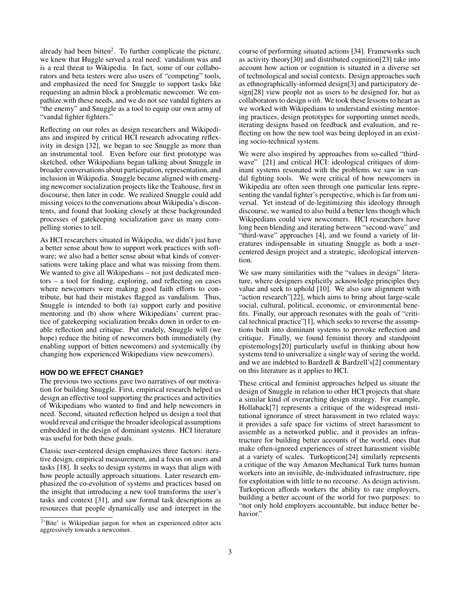already had been bitten<sup>[2](#page-2-0)</sup>. To further complicate the picture, we knew that Huggle served a real need: vandalism was and is a real threat to Wikipedia. In fact, some of our collaborators and beta testers were also users of "competing" tools, and emphasized the need for Snuggle to support tasks like requesting an admin block a problematic newcomer. We empathize with these needs, and we do not see vandal fighters as "the enemy" and Snuggle as a tool to equip our own army of "vandal fighter fighters."

Reflecting on our roles as design researchers and Wikipedians and inspired by critical HCI research advocating reflexivity in design [\[32\]](#page-9-13), we began to see Snuggle as more than an instrumental tool. Even before our first prototype was sketched, other Wikipedians began talking about Snuggle in broader conversations about participation, representation, and inclusion in Wikipedia. Snuggle became aligned with emerging newcomer socialization projects like the Teahouse, first in discourse, then later in code. We realized Snuggle could add missing voices to the conversations about Wikipedia's discontents, and found that looking closely at these backgrounded processes of gatekeeping socialization gave us many compelling stories to tell.

As HCI researchers situated in Wikipedia, we didn't just have a better sense about how to support work practices with software; we also had a better sense about what kinds of conversations were taking place and what was missing from them. We wanted to give all Wikipedians – not just dedicated mentors – a tool for finding, exploring, and reflecting on cases where newcomers were making good faith efforts to contribute, but had their mistakes flagged as vandalism. Thus, Snuggle is intended to both (a) support early and positive mentoring and (b) show where Wikipedians' current practice of gatekeeping socialization breaks down in order to enable reflection and critique. Put crudely, Snuggle will (we hope) reduce the biting of newcomers both immediately (by enabling support of bitten newcomers) and systemically (by changing how experienced Wikipedians view newcomers).

#### **HOW DO WE EFFECT CHANGE?**

The previous two sections gave two narratives of our motivation for building Snuggle. First, empirical research helped us design an effective tool supporting the practices and activities of Wikipedians who wanted to find and help newcomers in need. Second, situated reflection helped us design a tool that would reveal and critique the broader ideological assumptions embedded in the design of dominant systems. HCI literature was useful for both these goals.

Classic user-centered design emphasizes three factors: iterative design, empirical measurement, and a focus on users and tasks [\[18\]](#page-9-14). It seeks to design systems in ways that align with how people actually approach situations. Later research emphasized the co-evolution of systems and practices based on the insight that introducing a new tool transforms the user's tasks and context [\[31\]](#page-9-15), and saw formal task descriptions as resources that people dynamically use and interpret in the course of performing situated actions [\[34\]](#page-9-16). Frameworks such as activity theory[\[30\]](#page-9-17) and distributed cognition[\[23\]](#page-9-18) take into account how action or cognition is situated in a diverse set of technological and social contexts. Design approaches such as ethnographically-informed design[\[3\]](#page-8-0) and participatory design[\[28\]](#page-9-19) view people not as users to be designed for, but as collaborators to design *with*. We took these lessons to heart as we worked with Wikipedians to understand existing mentoring practices, design prototypes for supporting unmet needs, iterating designs based on feedback and evaluation, and reflecting on how the new tool was being deployed in an existing socio-technical system.

We were also inspired by approaches from so-called "third-wave" [\[21\]](#page-9-20) and critical HCI: ideological critiques of dominant systems resonated with the problems we saw in vandal fighting tools. We were critical of how newcomers in Wikipedia are often seen through one particular lens representing the vandal fighter's perspective, which is far from universal. Yet instead of de-legitimizing this ideology through discourse, we wanted to also build a better lens though which Wikipedians could view newcomers. HCI researchers have long been blending and iterating between "second-wave" and "third-wave" approaches [\[4\]](#page-8-1), and we found a variety of literatures indispensable in situating Snuggle as both a usercentered design project and a strategic, ideological intervention.

We saw many similarities with the "values in design" literature, where designers explicitly acknowledge principles they value and seek to uphold [\[10\]](#page-9-21). We also saw alignment with "action research"[\[22\]](#page-9-22), which aims to bring about large-scale social, cultural, political, economic, or environmental benefits. Finally, our approach resonates with the goals of "critical technical practice"[\[1\]](#page-8-2), which seeks to reverse the assumptions built into dominant systems to provoke reflection and critique. Finally, we found feminist theory and standpoint epistemology[\[20\]](#page-9-23) particularly useful in thinking about how systems tend to universalize a single way of seeing the world, and we are indebted to Bardzell & Bardzell's[\[2\]](#page-8-3) commentary on this literature as it applies to HCI.

These critical and feminist approaches helped us situate the design of Snuggle in relation to other HCI projects that share a similar kind of overarching design strategy. For example, Hollaback[\[7\]](#page-9-24) represents a critique of the widespread institutional ignorance of street harassment in two related ways: it provides a safe space for victims of street harassment to assemble as a networked public, and it provides an infrastructure for building better accounts of the world, ones that make often-ignored experiences of street harassment visible at a variety of scales. Turkopticon[\[24\]](#page-9-25) similarly represents a critique of the way Amazon Mechanical Turk turns human workers into an invisible, de-individuated infrastructure, ripe for exploitation with little to no recourse. As design activism, Turkopticon affords workers the ability to rate employers, building a better account of the world for two purposes: to "not only hold employers accountable, but induce better behavior."

<span id="page-2-0"></span><sup>&</sup>lt;sup>2</sup>'Bite' is Wikipedian jargon for when an experienced editor acts aggressively towards a newcomer.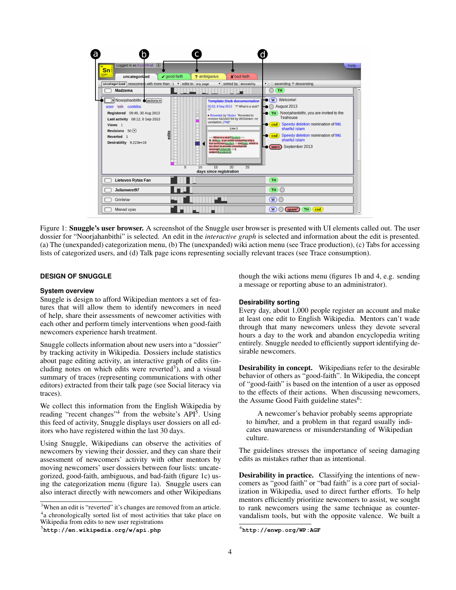<span id="page-3-3"></span>

Figure 1: **Snuggle's user browser.** A screenshot of the Snuggle user browser is presented with UI elements called out. The user dossier for "Noorjahanbithi" is selected. An edit in the *interactive graph* is selected and information about the edit is presented. (a) The (unexpanded) categorization menu, (b) The (unexpanded) wiki action menu (see [Trace production\)](#page-5-0), (c) Tabs for accessing lists of categorized users, and (d) Talk page icons representing socially relevant traces (see [Trace consumption\)](#page-5-1).

#### **DESIGN OF SNUGGLE**

#### **System overview**

Snuggle is design to afford Wikipedian mentors a set of features that will allow them to identify newcomers in need of help, share their assessments of newcomer activities with each other and perform timely interventions when good-faith newcomers experience harsh treatment.

Snuggle collects information about new users into a "dossier" by tracking activity in Wikipedia. Dossiers include statistics about page editing activity, an interactive graph of edits (in-cluding notes on which edits were reverted<sup>[3](#page-3-0)</sup>), and a visual summary of traces (representing communications with other editors) extracted from their talk page (see [Social literacy via](#page-4-0) [traces\)](#page-4-0).

We collect this information from the English Wikipedia by reading "recent changes"<sup>[4](#page-3-1)</sup> from the website's API<sup>[5](#page-3-2)</sup>. Using this feed of activity, Snuggle displays user dossiers on all editors who have registered within the last 30 days.

Using Snuggle, Wikipedians can observe the activities of newcomers by viewing their dossier, and they can share their assessment of newcomers' activity with other mentors by moving newcomers' user dossiers between four lists: uncategorized, good-faith, ambiguous, and bad-faith (figure [1c](#page-3-3)) using the categorization menu (figure [1a](#page-3-3)). Snuggle users can also interact directly with newcomers and other Wikipedians though the wiki actions menu (figures [1b](#page-3-3) and [4,](#page-5-2) e.g. sending a message or reporting abuse to an administrator).

## **Desirability sorting**

Every day, about 1,000 people register an account and make at least one edit to English Wikipedia. Mentors can't wade through that many newcomers unless they devote several hours a day to the work and abandon encyclopedia writing entirely. Snuggle needed to efficiently support identifying desirable newcomers.

Desirability in concept. Wikipedians refer to the desirable behavior of others as "good-faith". In Wikipedia, the concept of "good-faith" is based on the intention of a user as opposed to the effects of their actions. When discussing newcomers, the Assume Good Faith guideline states<sup>[6](#page-3-4)</sup>:

A newcomer's behavior probably seems appropriate to him/her, and a problem in that regard usually indicates unawareness or misunderstanding of Wikipedian culture.

The guidelines stresses the importance of seeing damaging edits as mistakes rather than as intentional.

Desirability in practice. Classifying the intentions of newcomers as "good faith" or "bad faith" is a core part of socialization in Wikipedia, used to direct further efforts. To help mentors efficiently prioritize newcomers to assist, we sought to rank newcomers using the same technique as countervandalism tools, but with the opposite valence. We built a

<span id="page-3-1"></span><span id="page-3-0"></span><sup>&</sup>lt;sup>3</sup>When an edit is "reverted" it's changes are removed from an article. <sup>4</sup>a chronologically sorted list of most activities that take place on Wikipedia from edits to new user registrations

<span id="page-3-2"></span><sup>5</sup> **<http://en.wikipedia.org/w/api.php>**

<span id="page-3-4"></span><sup>6</sup> **<http://enwp.org/WP:AGF>**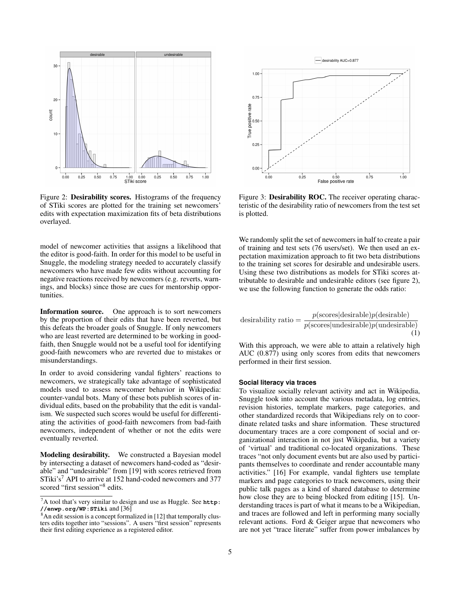<span id="page-4-3"></span>

Figure 2: Desirability scores. Histograms of the frequency of STiki scores are plotted for the training set newcomers' edits with expectation maximization fits of beta distributions overlayed.

model of newcomer activities that assigns a likelihood that the editor is good-faith. In order for this model to be useful in Snuggle, the modeling strategy needed to accurately classify newcomers who have made few edits without accounting for negative reactions received by newcomers (e.g. reverts, warnings, and blocks) since those are cues for mentorship opportunities.

Information source. One approach is to sort newcomers by the proportion of their edits that have been reverted, but this defeats the broader goals of Snuggle. If only newcomers who are least reverted are determined to be working in goodfaith, then Snuggle would not be a useful tool for identifying good-faith newcomers who are reverted due to mistakes or misunderstandings.

In order to avoid considering vandal fighters' reactions to newcomers, we strategically take advantage of sophisticated models used to assess newcomer behavior in Wikipedia: counter-vandal bots. Many of these bots publish scores of individual edits, based on the probability that the edit is vandalism. We suspected such scores would be useful for differentiating the activities of good-faith newcomers from bad-faith newcomers, independent of whether or not the edits were eventually reverted.

Modeling desirability. We constructed a Bayesian model by intersecting a dataset of newcomers hand-coded as "desirable" and "undesirable" from [\[19\]](#page-9-7) with scores retrieved from STiki's<sup>[7](#page-4-1)</sup> API to arrive at 152 hand-coded newcomers and 377 scored "first session"<sup>[8](#page-4-2)</sup> edits.



Figure 3: Desirability ROC. The receiver operating characteristic of the desirability ratio of newcomers from the test set is plotted.

We randomly split the set of newcomers in half to create a pair of training and test sets (76 users/set). We then used an expectation maximization approach to fit two beta distributions to the training set scores for desirable and undesirable users. Using these two distributions as models for STiki scores attributable to desirable and undesirable editors (see figure [2\)](#page-4-3), we use the following function to generate the odds ratio:

desirability ratio = 
$$
\frac{p(\text{scores}|\text{desirable})p(\text{desirable})}{p(\text{scores}|\text{undesirable})p(\text{undesirable})}
$$
(1)

With this approach, we were able to attain a relatively high AUC (0.877) using only scores from edits that newcomers performed in their first session.

#### <span id="page-4-0"></span>**Social literacy via traces**

To visualize socially relevant activity and act in Wikipedia, Snuggle took into account the various metadata, log entries, revision histories, template markers, page categories, and other standardized records that Wikipedians rely on to coordinate related tasks and share information. These structured documentary traces are a core component of social and organizational interaction in not just Wikipedia, but a variety of 'virtual' and traditional co-located organizations. These traces "not only document events but are also used by participants themselves to coordinate and render accountable many activities." [\[16\]](#page-9-27) For example, vandal fighters use template markers and page categories to track newcomers, using their public talk pages as a kind of shared database to determine how close they are to being blocked from editing [\[15\]](#page-9-2). Understanding traces is part of what it means to be a Wikipedian, and traces are followed and left in performing many socially relevant actions. Ford & Geiger argue that newcomers who are not yet "trace literate" suffer from power imbalances by

<span id="page-4-1"></span><sup>7</sup>A tool that's very similar to design and use as Huggle. See **[http:](http://enwp.org/WP:STiki) [//enwp.org/WP:STiki](http://enwp.org/WP:STiki)** and [\[36\]](#page-9-1)

<span id="page-4-2"></span> $8$ An edit session is a concept formalized in [\[12\]](#page-9-26) that temporally clusters edits together into "sessions". A users "first session" represents their first editing experience as a registered editor.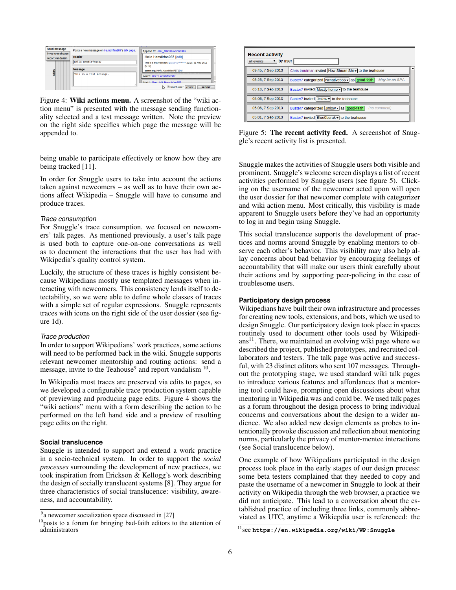<span id="page-5-2"></span>

Figure 4: Wiki actions menu. A screenshot of the "wiki action menu" is presented with the message sending functionality selected and a test message written. Note the preview on the right side specifies which page the message will be appended to.

being unable to participate effectively or know how they are being tracked [\[11\]](#page-9-8).

In order for Snuggle users to take into account the actions taken against newcomers – as well as to have their own actions affect Wikipedia – Snuggle will have to consume and produce traces.

#### <span id="page-5-1"></span>*Trace consumption*

For Snuggle's trace consumption, we focused on newcomers' talk pages. As mentioned previously, a user's talk page is used both to capture one-on-one conversations as well as to document the interactions that the user has had with Wikipedia's quality control system.

Luckily, the structure of these traces is highly consistent because Wikipedians mostly use templated messages when interacting with newcomers. This consistency lends itself to detectability, so we were able to define whole classes of traces with a simple set of regular expressions. Snuggle represents traces with icons on the right side of the user dossier (see figure [1d](#page-3-3)).

#### <span id="page-5-0"></span>*Trace production*

In order to support Wikipedians' work practices, some actions will need to be performed back in the wiki. Snuggle supports relevant newcomer mentorship and routing actions: send a message, invite to the Teahouse<sup>[9](#page-5-3)</sup> and report vandalism  $^{10}$  $^{10}$  $^{10}$ .

In Wikipedia most traces are preserved via edits to pages, so we developed a configurable trace production system capable of previewing and producing page edits. Figure [4](#page-5-2) shows the "wiki actions" menu with a form describing the action to be performed on the left hand side and a preview of resulting page edits on the right.

## <span id="page-5-7"></span>**Social translucence**

Snuggle is intended to support and extend a work practice in a socio-technical system. In order to support the *social processes* surrounding the development of new practices, we took inspiration from Erickson & Kellogg's work describing the design of socially translucent systems [\[8\]](#page-9-28). They argue for three characteristics of social translucence: visibility, awareness, and accountability.

<span id="page-5-5"></span>

| <b>Recent activity</b><br>v by user<br>all events |                                                                  |
|---------------------------------------------------|------------------------------------------------------------------|
| 09:45, 7 Sep 2013                                 | Chris troutman invited How Shuan Shi v to the teahouse           |
| 05:25, 7 Sep 2013                                 | Buster7 categorized Ncnative556 v as good-faith<br>May be an SPA |
| 05:13, 7 Sep 2013                                 | Buster7 invited Mostly home $\overrightarrow{v}$ to the teahouse |
| 05:06, 7 Sep 2013                                 | Buster7 invited Jmlow v to the teahouse                          |
| 05:06, 7 Sep 2013                                 | Buster7 categorized Jmlow v as good-faith<br>(no comment)        |
| 05:01, 7 Sep 2013                                 | Buster7 invited Blue0burak v to the teahouse                     |

Figure 5: The recent activity feed. A screenshot of Snuggle's recent activity list is presented.

Snuggle makes the activities of Snuggle users both visible and prominent. Snuggle's welcome screen displays a list of recent activities performed by Snuggle users (see figure [5\)](#page-5-5). Clicking on the username of the newcomer acted upon will open the user dossier for that newcomer complete with categorizer and wiki action menu. Most critically, this visibility is made apparent to Snuggle users before they've had an opportunity to log in and begin using Snuggle.

This social translucence supports the development of practices and norms around Snuggle by enabling mentors to observe each other's behavior. This visibility may also help allay concerns about bad behavior by encouraging feelings of accountability that will make our users think carefully about their actions and by supporting peer-policing in the case of troublesome users.

#### **Participatory design process**

Wikipedians have built their own infrastructure and processes for creating new tools, extensions, and bots, which we used to design Snuggle. Our participatory design took place in spaces routinely used to document other tools used by Wikipedi- $ans<sup>11</sup>$  $ans<sup>11</sup>$  $ans<sup>11</sup>$ . There, we maintained an evolving wiki page where we described the project, published prototypes, and recruited collaborators and testers. The talk page was active and successful, with 23 distinct editors who sent 107 messages. Throughout the prototyping stage, we used standard wiki talk pages to introduce various features and affordances that a mentoring tool could have, prompting open discussions about what mentoring in Wikipedia was and could be. We used talk pages as a forum throughout the design process to bring individual concerns and conversations about the design to a wider audience. We also added new design elements as probes to intentionally provoke discussion and reflection about mentoring norms, particularly the privacy of mentor-mentee interactions (see [Social translucence](#page-5-7) below).

One example of how Wikipedians participated in the design process took place in the early stages of our design process: some beta testers complained that they needed to copy and paste the username of a newcomer in Snuggle to look at their activity on Wikipedia through the web browser, a practice we did not anticipate. This lead to a conversation about the established practice of including three links, commonly abbreviated as UTC, anytime a Wikiepdia user is referenced: the

<span id="page-5-3"></span><sup>&</sup>lt;sup>9</sup> a newcomer socialization space discussed in [\[27\]](#page-9-11)

<span id="page-5-4"></span> $10$ posts to a forum for bringing bad-faith editors to the attention of administrators

<span id="page-5-6"></span><sup>11</sup>see **<https://en.wikipedia.org/wiki/WP:Snuggle>**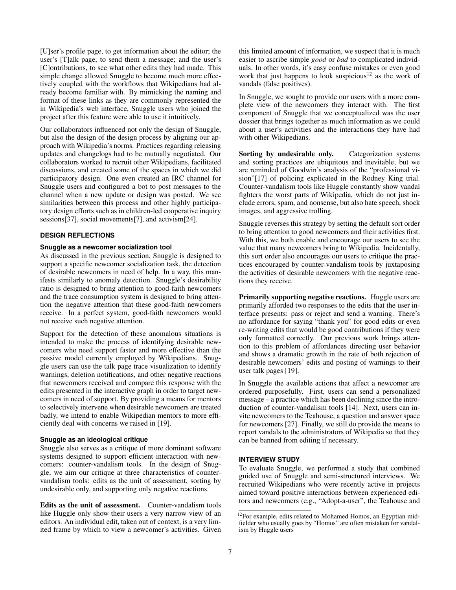[U]ser's profile page, to get information about the editor; the user's [T]alk page, to send them a message; and the user's [C]ontributions, to see what other edits they had made. This simple change allowed Snuggle to become much more effectively coupled with the workflows that Wikipedians had already become familiar with. By mimicking the naming and format of these links as they are commonly represented the in Wikipedia's web interface, Snuggle users who joined the project after this feature were able to use it intuitively.

Our collaborators influenced not only the design of Snuggle, but also the design of the design process by aligning our approach with Wikipedia's norms. Practices regarding releasing updates and changelogs had to be mutually negotiated. Our collaborators worked to recruit other Wikipedians, facilitated discussions, and created some of the spaces in which we did participatory design. One even created an IRC channel for Snuggle users and configured a bot to post messages to the channel when a new update or design was posted. We see similarities between this process and other highly participatory design efforts such as in children-led cooperative inquiry sessions[\[37\]](#page-9-29), social movements[\[7\]](#page-9-24), and activism[\[24\]](#page-9-25).

# **DESIGN REFLECTIONS**

#### **Snuggle as a newcomer socialization tool**

As discussed in the previous section, Snuggle is designed to support a specific newcomer socialization task, the detection of desirable newcomers in need of help. In a way, this manifests similarly to anomaly detection. Snuggle's desirability ratio is designed to bring attention to good-faith newcomers and the trace consumption system is designed to bring attention the negative attention that these good-faith newcomers receive. In a perfect system, good-faith newcomers would not receive such negative attention.

Support for the detection of these anomalous situations is intended to make the process of identifying desirable newcomers who need support faster and more effective than the passive model currently employed by Wikipedians. Snuggle users can use the talk page trace visualization to identify warnings, deletion notifications, and other negative reactions that newcomers received and compare this response with the edits presented in the interactive graph in order to target newcomers in need of support. By providing a means for mentors to selectively intervene when desirable newcomers are treated badly, we intend to enable Wikipedian mentors to more efficiently deal with concerns we raised in [\[19\]](#page-9-7).

#### **Snuggle as an ideological critique**

Snuggle also serves as a critique of more dominant software systems designed to support efficient interaction with newcomers: counter-vandalism tools. In the design of Snuggle, we aim our critique at three characteristics of countervandalism tools: edits as the unit of assessment, sorting by undesirable only, and supporting only negative reactions.

Edits as the unit of assessment. Counter-vandalism tools like Huggle only show their users a very narrow view of an editors. An individual edit, taken out of context, is a very limited frame by which to view a newcomer's activities. Given

this limited amount of information, we suspect that it is much easier to ascribe simple *good* or *bad* to complicated individuals. In other words, it's easy confuse mistakes or even good work that just happens to look suspicious<sup>[12](#page-6-0)</sup> as the work of vandals (false positives).

In Snuggle, we sought to provide our users with a more complete view of the newcomers they interact with. The first component of Snuggle that we conceptualized was the user dossier that brings together as much information as we could about a user's activities and the interactions they have had with other Wikipedians.

Sorting by undesirable only. Categorization systems and sorting practices are ubiquitous and inevitable, but we are reminded of Goodwin's analysis of the "professional vision"[\[17\]](#page-9-5) of policing explicated in the Rodney King trial. Counter-vandalism tools like Huggle constantly show vandal fighters the worst parts of Wikipedia, which do not just include errors, spam, and nonsense, but also hate speech, shock images, and aggressive trolling.

Snuggle reverses this strategy by setting the default sort order to bring attention to good newcomers and their activities first. With this, we both enable and encourage our users to see the value that many newcomers bring to Wikipedia. Incidentally, this sort order also encourages our users to critique the practices encouraged by counter-vandalism tools by juxtaposing the activities of desirable newcomers with the negative reactions they receive.

Primarily supporting negative reactions. Huggle users are primarily afforded two responses to the edits that the user interface presents: pass or reject and send a warning. There's no affordance for saying "thank you" for good edits or even re-writing edits that would be good contributions if they were only formatted correctly. Our previous work brings attention to this problem of affordances directing user behavior and shows a dramatic growth in the rate of both rejection of desirable newcomers' edits and posting of warnings to their user talk pages [\[19\]](#page-9-7).

In Snuggle the available actions that affect a newcomer are ordered purposefully. First, users can send a personalized message – a practice which has been declining since the introduction of counter-vandalism tools [\[14\]](#page-9-6). Next, users can invite newcomers to the Teahouse, a question and answer space for newcomers [\[27\]](#page-9-11). Finally, we still do provide the means to report vandals to the administrators of Wikipedia so that they can be banned from editing if necessary.

# **INTERVIEW STUDY**

To evaluate Snuggle, we performed a study that combined guided use of Snuggle and semi-structured interviews. We recruited Wikipedians who were recently active in projects aimed toward positive interactions between experienced editors and newcomers (e.g., "Adopt-a-user", the Teahouse and

<span id="page-6-0"></span> $12$ For example, edits related to Mohamed Homos, an Egyptian midfielder who usually goes by "Homos" are often mistaken for vandalism by Huggle users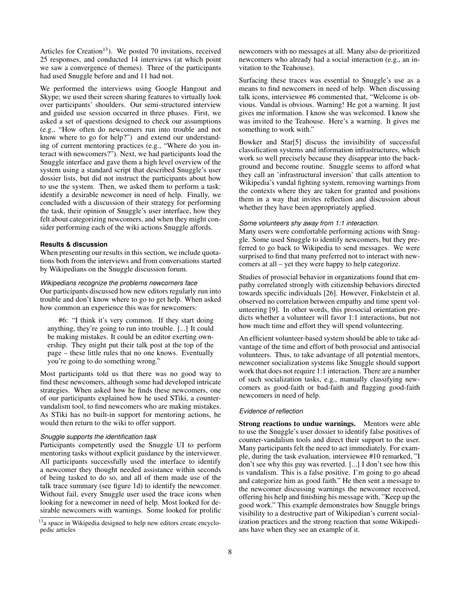Articles for Creation<sup>[13](#page-7-0)</sup>). We posted 70 invitations, received 25 responses, and conducted 14 interviews (at which point we saw a convergence of themes). Three of the participants had used Snuggle before and and 11 had not.

We performed the interviews using Google Hangout and Skype; we used their screen sharing features to virtually look over participants' shoulders. Our semi-structured interview and guided use session occurred in three phases. First, we asked a set of questions designed to check our assumptions (e.g., "How often do newcomers run into trouble and not know where to go for help?") and extend our understanding of current mentoring practices (e.g., "Where do you interact with newcomers?"). Next, we had participants load the Snuggle interface and gave them a high level overview of the system using a standard script that described Snuggle's user dossier lists, but did not instruct the participants about how to use the system. Then, we asked them to perform a task: identify a desirable newcomer in need of help. Finally, we concluded with a discussion of their strategy for performing the task, their opinion of Snuggle's user interface, how they felt about categorizing newcomers, and when they might consider performing each of the wiki actions Snuggle affords.

## **Results & discussion**

When presenting our results in this section, we include quotations both from the interviews and from conversations started by Wikipedians on the Snuggle discussion forum.

#### *Wikipedians recognize the problems newcomers face*

Our participants discussed how new editors regularly run into trouble and don't know where to go to get help. When asked how common an experience this was for newcomers:

#6: "I think it's very common. If they start doing anything, they're going to run into trouble. [...] It could be making mistakes. It could be an editor exerting ownership. They might put their talk post at the top of the page – these little rules that no one knows. Eventually you're going to do something wrong."

Most participants told us that there was no good way to find these newcomers, although some had developed intricate strategies. When asked how he finds these newcomers, one of our participants explained how he used STiki, a countervandalism tool, to find newcomers who are making mistakes. As STiki has no built-in support for mentoring actions, he would then return to the wiki to offer support.

#### *Snuggle supports the identification task*

Participants competently used the Snuggle UI to perform mentoring tasks without explicit guidance by the interviewer. All participants successfully used the interface to identify a newcomer they thought needed assistance within seconds of being tasked to do so, and all of them made use of the talk trace summary (see figure [1d](#page-3-3)) to identify the newcomer. Without fail, every Snuggle user used the trace icons when looking for a newcomer in need of help. Most looked for desirable newcomers with warnings. Some looked for prolific

<span id="page-7-0"></span> $13a$  space in Wikipedia designed to help new editors create encyclopedic articles

newcomers with no messages at all. Many also de-prioritized newcomers who already had a social interaction (e.g., an invitation to the Teahouse).

Surfacing these traces was essential to Snuggle's use as a means to find newcomers in need of help. When discussing talk icons, interviewee #6 commented that, "Welcome is obvious. Vandal is obvious. Warning! He got a warning. It just gives me information. I know she was welcomed. I know she was invited to the Teahouse. Here's a warning. It gives me something to work with."

Bowker and Star[\[5\]](#page-9-30) discuss the invisibility of successful classification systems and information infrastructures, which work so well precisely because they disappear into the background and become routine. Snuggle seems to afford what they call an 'infrastructural inversion' that calls attention to Wikipedia's vandal fighting system, removing warnings from the contexts where they are taken for granted and positions them in a way that invites reflection and discussion about whether they have been appropriately applied.

#### *Some volunteers shy away from 1:1 interaction.*

Many users were comfortable performing actions with Snuggle. Some used Snuggle to identify newcomers, but they preferred to go back to Wikipedia to send messages. We were surprised to find that many preferred not to interact with newcomers at all – yet they were happy to help categorize.

Studies of prosocial behavior in organizations found that empathy correlated strongly with citizenship behaviors directed towards specific individuals [\[26\]](#page-9-31). However, Finkelstein et al. observed no correlation between empathy and time spent volunteering [\[9\]](#page-9-32). In other words, this prosocial orientation predicts whether a volunteer will favor 1:1 interactions, but not how much time and effort they will spend volunteering.

An efficient volunteer-based system should be able to take advantage of the time and effort of both prosocial and antisocial volunteers. Thus, to take advantage of all potential mentors, newcomer socialization systems like Snuggle should support work that does not require 1:1 interaction. There are a number of such socialization tasks, e.g., manually classifying newcomers as good-faith or bad-faith and flagging good-faith newcomers in need of help.

#### *Evidence of reflection*

Strong reactions to undue warnings. Mentors were able to use the Snuggle's user dossier to identify false positives of counter-vandalism tools and direct their support to the user. Many participants felt the need to act immediately. For example, during the task evaluation, interviewee #10 remarked, "I don't see why this guy was reverted. [...] I don't see how this is vandalism. This is a false positive. I'm going to go ahead and categorize him as good faith." He then sent a message to the newcomer discussing warnings the newcomer received, offering his help and finishing his message with, "Keep up the good work." This example demonstrates how Snuggle brings visibility to a destructive part of Wikipedian's current socialization practices and the strong reaction that some Wikipedians have when they see an example of it.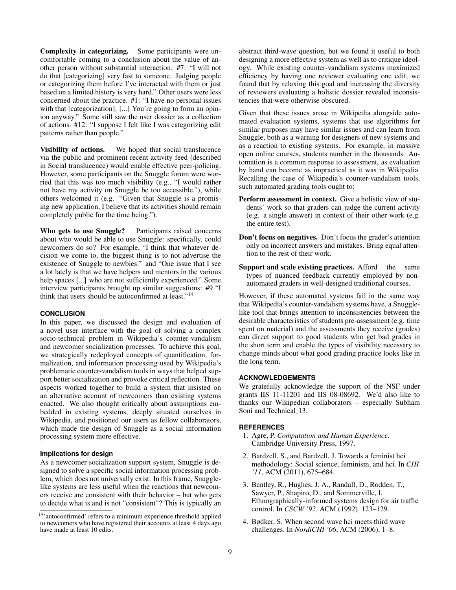Complexity in categorizing. Some participants were uncomfortable coming to a conclusion about the value of another person without substantial interaction. #7: "I will not do that [categorizing] very fast to someone. Judging people or categorizing them before I've interacted with them or just based on a limited history is very hard." Other users were less concerned about the practice. #1: "I have no personal issues with that [categorization]. [...] You're going to form an opinion anyway." Some still saw the user dossier as a collection of actions. #12: "I suppose I felt like I was categorizing edit patterns rather than people."

Visibility of actions. We hoped that social translucence via the public and prominent recent activity feed (described in [Social translucence\)](#page-5-7) would enable effective peer-policing. However, some participants on the Snuggle forum were worried that this was too much visibility (e.g., "I would rather not have my activity on Snuggle be too accessible."), while others welcomed it (e.g. "Given that Snuggle is a promising new application, I believe that its activities should remain completely public for the time being.").

Who gets to use Snuggle? Participants raised concerns about who would be able to use Snuggle: specifically, could newcomers do so? For example, "I think that whatever decision we come to, the biggest thing is to not advertise the existence of Snuggle to newbies." and "One issue that I see a lot lately is that we have helpers and mentors in the various help spaces [...] who are not sufficiently experienced." Some interview participants brought up similar suggestions: #9 "I think that users should be autoconfirmed at least."<sup>[14](#page-8-4)</sup>

#### **CONCLUSION**

In this paper, we discussed the design and evaluation of a novel user interface with the goal of solving a complex socio-technical problem in Wikipedia's counter-vandalism and newcomer socialization processes. To achieve this goal, we strategically redeployed concepts of quantification, formalization, and information processing used by Wikipedia's problematic counter-vandalism tools in ways that helped support better socialization and provoke critical reflection. These aspects worked together to build a system that insisted on an alternative account of newcomers than existing systems enacted. We also thought critically about assumptions embedded in existing systems, deeply situated ourselves in Wikipedia, and positioned our users as fellow collaborators, which made the design of Snuggle as a social information processing system more effective.

## **Implications for design**

As a newcomer socialization support system, Snuggle is designed to solve a specific social information processing problem, which does not universally exist. In this frame, Snugglelike systems are less useful when the reactions that newcomers receive are consistent with their behavior – but who gets to decide what is and is not "consistent"? This is typically an

abstract third-wave question, but we found it useful to both designing a more effective system as well as to critique ideology. While existing counter-vandalism systems maximized efficiency by having one reviewer evaluating one edit, we found that by relaxing this goal and increasing the diversity of reviewers evaluating a holistic dossier revealed inconsistencies that were otherwise obscured.

Given that these issues arose in Wikipedia alongside automated evaluation systems, systems that use algorithms for similar purposes may have similar issues and can learn from Snuggle, both as a warning for designers of new systems and as a reaction to existing systems. For example, in massive open online courses, students number in the thousands. Automation is a common response to assessment, as evaluation by hand can become as impractical as it was in Wikipedia. Recalling the case of Wikipedia's counter-vandalism tools, such automated grading tools ought to:

- Perform assessment in context. Give a holistic view of students' work so that graders can judge the current activity (e.g. a single answer) in context of their other work (e.g. the entire test).
- Don't focus on negatives. Don't focus the grader's attention only on incorrect answers and mistakes. Bring equal attention to the rest of their work.
- Support and scale existing practices. Afford the same types of nuanced feedback currently employed by nonautomated graders in well-designed traditional courses.

However, if these automated systems fail in the same way that Wikipedia's counter-vandalism systems have, a Snugglelike tool that brings attention to inconsistencies between the desirable characteristics of students pre-assessment (e.g. time spent on material) and the assessments they receive (grades) can direct support to good students who get bad grades in the short term and enable the types of visibility necessary to change minds about what good grading practice looks like in the long term.

# **ACKNOWLEDGEMENTS**

We gratefully acknowledge the support of the NSF under grants IIS 11-11201 and IIS 08-08692. We'd also like to thanks our Wikipedian collaborators – especially Subham Soni and Technical<sub>13</sub>.

## <span id="page-8-2"></span>**REFERENCES**

- 1. Agre, P. *Computation and Human Experience*. Cambridge University Press, 1997.
- <span id="page-8-3"></span>2. Bardzell, S., and Bardzell, J. Towards a feminist hci methodology: Social science, feminism, and hci. In *CHI '11*, ACM (2011), 675–684.
- <span id="page-8-0"></span>3. Bentley, R., Hughes, J. A., Randall, D., Rodden, T., Sawyer, P., Shapiro, D., and Sommerville, I. Ethnographically-informed systems design for air traffic control. In *CSCW '92*, ACM (1992), 123–129.
- <span id="page-8-1"></span>4. Bødker, S. When second wave hci meets third wave challenges. In *NordiCHI '06*, ACM (2006), 1–8.

<span id="page-8-4"></span><sup>&</sup>lt;sup>14</sup>'autoconfirmed' refers to a minimum experience threshold applied to newcomers who have registered their accounts at least 4 days ago have made at least 10 edits.